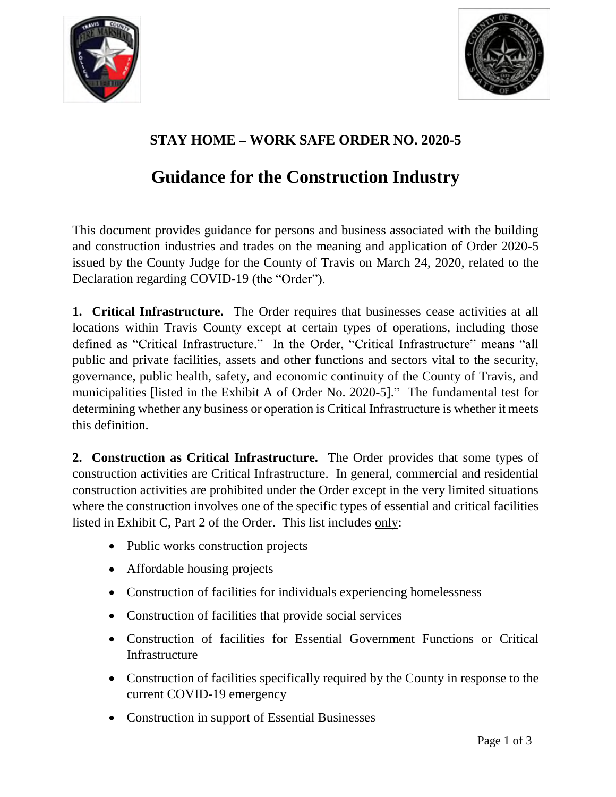



## **STAY HOME WORK SAFE ORDER NO. 2020-5**

## **Guidance for the Construction Industry**

This document provides guidance for persons and business associated with the building and construction industries and trades on the meaning and application of Order 2020-5 issued by the County Judge for the County of Travis on March 24, 2020, related to the Declaration regarding COVID-19 (the "Order").

**1. Critical Infrastructure.** The Order requires that businesses cease activities at all locations within Travis County except at certain types of operations, including those defined as "Critical Infrastructure." In the Order, "Critical Infrastructure" means "all public and private facilities, assets and other functions and sectors vital to the security, governance, public health, safety, and economic continuity of the County of Travis, and municipalities [listed in the Exhibit A of Order No. 2020-5]." The fundamental test for determining whether any business or operation is Critical Infrastructure is whether it meets this definition.

**2. Construction as Critical Infrastructure.** The Order provides that some types of construction activities are Critical Infrastructure. In general, commercial and residential construction activities are prohibited under the Order except in the very limited situations where the construction involves one of the specific types of essential and critical facilities listed in Exhibit C, Part 2 of the Order. This list includes only:

- Public works construction projects
- Affordable housing projects
- Construction of facilities for individuals experiencing homelessness
- Construction of facilities that provide social services
- Construction of facilities for Essential Government Functions or Critical Infrastructure
- Construction of facilities specifically required by the County in response to the current COVID-19 emergency
- Construction in support of Essential Businesses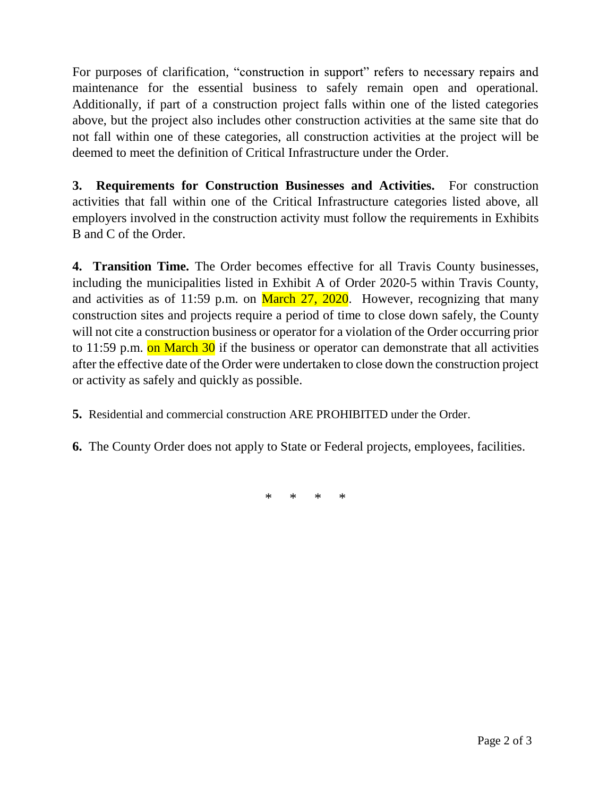For purposes of clarification, "construction in support" refers to necessary repairs and maintenance for the essential business to safely remain open and operational. Additionally, if part of a construction project falls within one of the listed categories above, but the project also includes other construction activities at the same site that do not fall within one of these categories, all construction activities at the project will be deemed to meet the definition of Critical Infrastructure under the Order.

**3. Requirements for Construction Businesses and Activities.** For construction activities that fall within one of the Critical Infrastructure categories listed above, all employers involved in the construction activity must follow the requirements in Exhibits B and C of the Order.

**4. Transition Time.** The Order becomes effective for all Travis County businesses, including the municipalities listed in Exhibit A of Order 2020-5 within Travis County, and activities as of 11:59 p.m. on March  $27$ ,  $2020$ . However, recognizing that many construction sites and projects require a period of time to close down safely, the County will not cite a construction business or operator for a violation of the Order occurring prior to 11:59 p.m. on March  $30$  if the business or operator can demonstrate that all activities after the effective date of the Order were undertaken to close down the construction project or activity as safely and quickly as possible.

- **5.** Residential and commercial construction ARE PROHIBITED under the Order.
- **6.** The County Order does not apply to State or Federal projects, employees, facilities.

\* \* \* \*